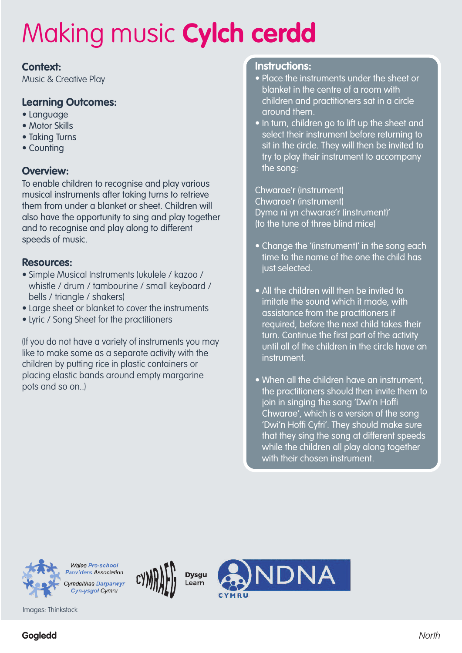#### **Context:**

Music & Creative Play

### **Learning Outcomes:**

- Language
- Motor Skills
- Taking Turns
- Counting

### **Overview:**

To enable children to recognise and play various musical instruments after taking turns to retrieve them from under a blanket or sheet. Children will also have the opportunity to sing and play together and to recognise and play along to different speeds of music.

#### **Resources:**

- Simple Musical Instruments (ukulele / kazoo / whistle / drum / tambourine / small keyboard / bells / triangle / shakers)
- Large sheet or blanket to cover the instruments
- Lyric / Song Sheet for the practitioners

(If you do not have a variety of instruments you may like to make some as a separate activity with the children by putting rice in plastic containers or placing elastic bands around empty margarine pots and so on..)

#### **Instructions:**

- Place the instruments under the sheet or blanket in the centre of a room with children and practitioners sat in a circle around them.
- In turn, children go to lift up the sheet and select their instrument before returning to sit in the circle. They will then be invited to try to play their instrument to accompany the song:

Chwarae'r (instrument) Chwarae'r (instrument) Dyma ni yn chwarae'r (instrument)' (to the tune of three blind mice)

- Change the '(instrument)' in the song each time to the name of the one the child has just selected.
- All the children will then be invited to imitate the sound which it made, with assistance from the practitioners if required, before the next child takes their turn. Continue the first part of the activity until all of the children in the circle have an instrument.
- When all the children have an instrument, the practitioners should then invite them to join in singing the song 'Dwi'n Hoffi Chwarae', which is a version of the song 'Dwi'n Hoffi Cyfri'. They should make sure that they sing the song at different speeds while the children all play along together with their chosen instrument.

VDNA

**Dysau** 

Learn



**Providers Association** Cymdeithas Darparwyr Cyn-ysgol Cymru

**Wales Pre-school** 

Images: Thinkstock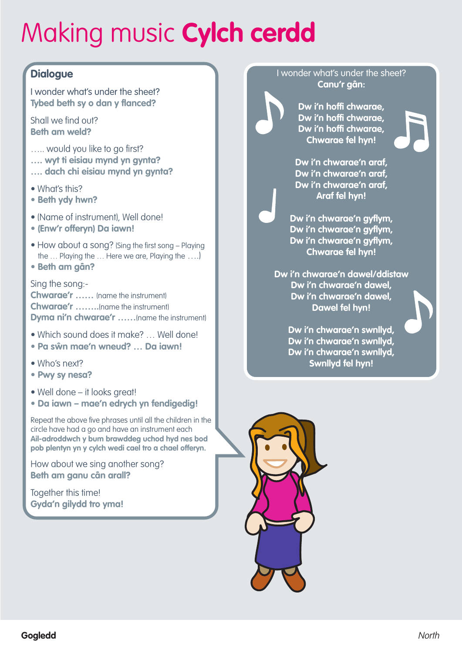### **Dialogue**

I wonder what's under the sheet? **Tybed beth sy o dan y flanced?**

Shall we find out? **Beth am weld?**

- ..... would you like to go first?
- **…. wyt ti eisiau mynd yn gynta?**
- **…. dach chi eisiau mynd yn gynta?**
- What's this?
- **• Beth ydy hwn?**
- (Name of instrument), Well done!
- **• (Enw'r offeryn) Da iawn!**
- How about a song? (Sing the first song Playing the … Playing the … Here we are, Playing the ….)
- **• Beth am gân?**

Sing the song:- **Chwarae'r ……** (name the instrument) **Chwarae'r ……..**(name the instrument) **Dyma ni'n chwarae'r ……**(name the instrument)

- Which sound does it make? … Well done!
- **• Pa sŵn mae'n wneud? … Da iawn!**
- Who's next?
- **• Pwy sy nesa?**
- Well done it looks great!
- **• Da iawn – mae'n edrych yn fendigedig!**

Repeat the above five phrases until all the children in the circle have had a go and have an instrument each **Ail-adroddwch y bum brawddeg uchod hyd nes bod pob plentyn yn y cylch wedi cael tro a chael offeryn.**

How about we sing another song? **Beth am ganu cân arall?**

Together this time! **Gyda'n gilydd tro yma!**

#### I wonder what's under the sheet? **Canu'r gân:**

**Dw i'n hoffi chwarae, Dw i'n hoffi chwarae, Dw i'n hoffi chwarae, Chwarae fel hyn!**

**Dw i'n chwarae'n araf, Dw i'n chwarae'n araf, Dw i'n chwarae'n araf, Araf fel hyn!**

**Dw i'n chwarae'n gyflym, Dw i'n chwarae'n gyflym, Dw i'n chwarae'n gyflym, Chwarae fel hyn!**

**Dw i'n chwarae'n dawel/ddistaw Dw i'n chwarae'n dawel, Dw i'n chwarae'n dawel, Dawel fel hyn!**

> **Dw i'n chwarae'n swnllyd, Dw i'n chwarae'n swnllyd, Dw i'n chwarae'n swnllyd, Swnllyd fel hyn!**

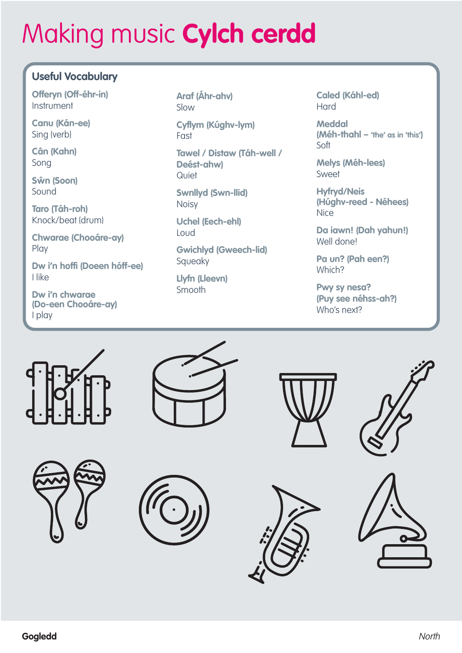## **Useful Vocabulary**

**Offeryn (Off-éhr-in)** Instrument

**Canu (Kán-ee)** Sing (verb)

**Cân (Kahn)** Song

**Sŵn (Soon)** Sound

**Taro (Táh-roh)** Knock/beat (drum)

**Chwarae (Chooáre-ay)** Play

**Dw i'n hoffi (Doeen hóff-ee)** I like

**Dw i'n chwarae (Do-een Chooáre-ay)** I play

**Araf (Áhr-ahv)** Slow

**Cyflym (Kúghv-lym)** Fast

**Tawel / Distaw (Táh-well / Deést-ahw) Quiet** 

**Swnllyd (Swn-llid)** Noisy

**Uchel (Eech-ehl)** Loud

**Gwichlyd (Gweech-lid)** Squeaky

**Llyfn (Lleevn)** Smooth

**Caled (Káhl-ed)** Hard

**Meddal (Méh-thahl – 'the' as in 'this')** Soft

**Melys (Méh-lees)** Sweet

**Hyfryd/Neis (Húghv-reed - Néhees)** Nice

**Da iawn! (Dah yahun!)** Well done!

**Pa un? (Pah een?)** Which?

**Pwy sy nesa? (Puy see néhss-ah?)** Who's next?















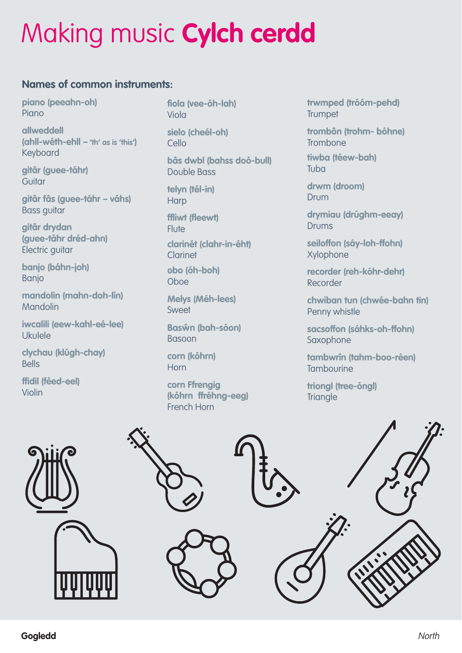### **Names of common instruments:**

**piano (peeahn-oh)** Piano

**allweddell (ahll-wéth-ehll – 'th' as is 'this')** Keyboard

**gitâr (guee-táhr) Guitar** 

**gitâr fâs (guee-táhr – váhs)** Bass guitar

**gitâr drydan (guee-táhr dréd-ahn)** Electric guitar

**banjo (báhn-joh)** Banjo

**mandolin (mahn-doh-lín)** Mandolin

**iwcalili (eew-kahl-eé-lee)** Ukulele

**clychau (klúgh-chay)** Bells

**ffidil (féed-eel)** Violin

**fiola (vee-óh-lah)** Viola

**sielo (cheél-oh)** Cello

**bâs dwbl (bahss doó-bull)** Double Bass

**telyn (tél-in) Harp** 

**ffliwt (fleewt) Flute clarinét (clahr-in-éht)** Clarinet **obo (óh-boh)**

Oboe

**Melys (Méh-lees)** Sweet

**Basŵn (bah-sóon)** Basoon

**corn (kóhrn)** Horn

**corn Ffrengig (kóhrn ffréhng-eeg)** French Horn

**trwmped (tróóm-pehd) Trumpet** 

**trombôn (trohm- bóhne)** Trombone

**tiwba (téew-bah)** Tuba

**drwm (droom)** Drum

**drymiau (drúghm-eeay)** Drums

**seiloffon (sáy-loh-ffohn)** Xylophone

**recorder (reh-kóhr-dehr)** Recorder

**chwiban tun (chwée-bahn tin)** Penny whistle

**sacsoffon (sáhks-oh-ffohn)** Saxophone

**tambwrîn (tahm-boo-réen) Tambourine** 

**triongl (tree-óngl) Triangle**